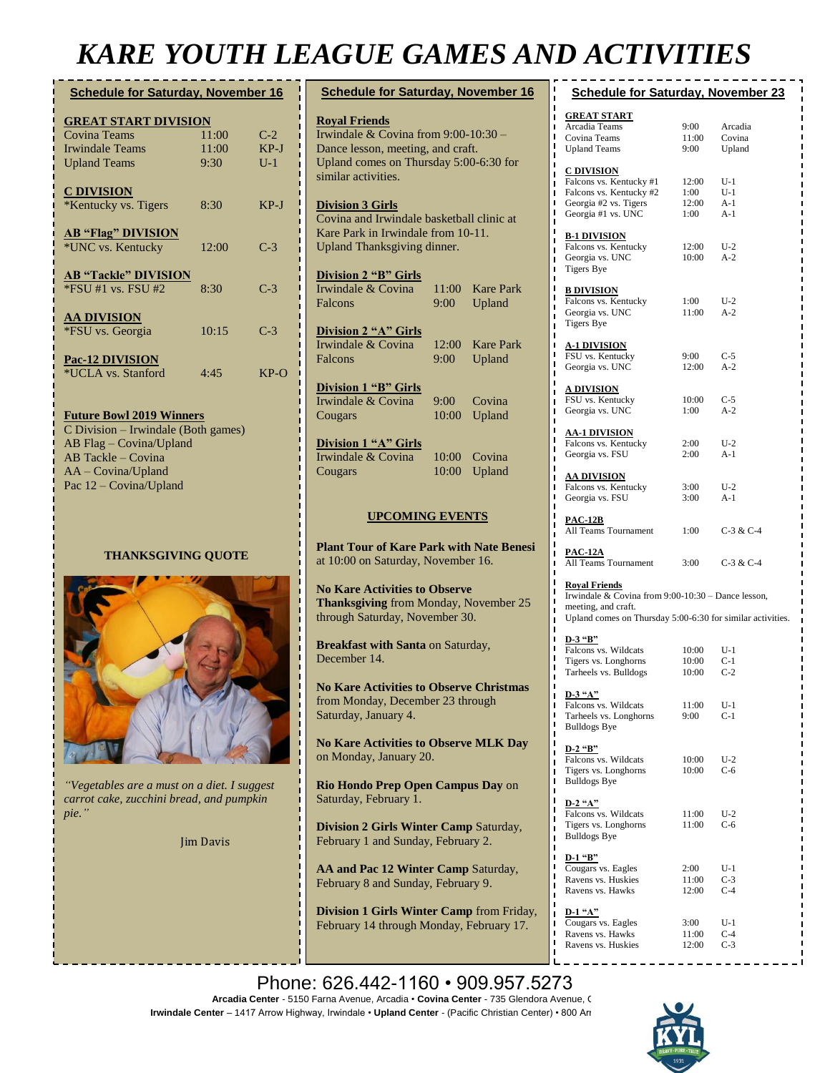## *KARE YOUTH LEAGUE GAMES AND ACTIVITIES*

| <b>Schedule for Saturday, November 16</b> |       |        |  |  |
|-------------------------------------------|-------|--------|--|--|
| <b>GREAT START DIVISION</b>               |       |        |  |  |
| <b>Covina Teams</b>                       | 11:00 | $C-2$  |  |  |
| <b>Irwindale Teams</b>                    | 11:00 | $KP-J$ |  |  |
| <b>Upland Teams</b>                       | 9:30  | $U-1$  |  |  |
| <b>C DIVISION</b>                         |       |        |  |  |
| *Kentucky vs. Tigers                      | 8:30  | $KP-J$ |  |  |
| <b>AB "Flag" DIVISION</b>                 |       |        |  |  |
| *UNC vs. Kentucky                         | 12:00 | $C-3$  |  |  |
| <b>AB "Tackle" DIVISION</b>               |       |        |  |  |
| $*$ FSU #1 vs. FSU #2                     | 8:30  | $C-3$  |  |  |
| <b>AA DIVISION</b>                        |       |        |  |  |
| *FSU vs. Georgia                          | 10:15 | $C-3$  |  |  |
| Pac-12 DIVISION                           |       |        |  |  |
| *UCLA vs. Stanford                        | 4:45  | $KP-O$ |  |  |
|                                           |       |        |  |  |
|                                           |       |        |  |  |

**Future Bowl 2019 Winners** C Division – Irwindale (Both games) AB Flag – Covina/Upland AB Tackle – Covina AA – Covina/Upland Pac 12 – Covina/Upland

#### **THANKSGIVING QUOTE**



*"Vegetables are a must on a diet. I suggest carrot cake, zucchini bread, and pumpkin pie."*

Jim Davis

| -<br><b>__</b><br>. .                                                                                                                                              | ∼<br>. <u>. .</u> |                            |  |  |
|--------------------------------------------------------------------------------------------------------------------------------------------------------------------|-------------------|----------------------------|--|--|
| <b>Schedule for Saturday, November 16</b>                                                                                                                          |                   |                            |  |  |
| <b>Royal Friends</b><br>Irwindale & Covina from 9:00-10:30 -<br>Dance lesson, meeting, and craft.<br>Upland comes on Thursday 5:00-6:30 for<br>similar activities. |                   |                            |  |  |
| <b>Division 3 Girls</b><br>Covina and Irwindale basketball clinic at<br>Kare Park in Irwindale from 10-11.<br>Upland Thanksgiving dinner.                          |                   |                            |  |  |
| <b>Division 2 "B" Girls</b><br>Irwindale & Covina<br>Falcons                                                                                                       | 11:00<br>9:00     | <b>Kare Park</b><br>Upland |  |  |
| <b>Division 2 "A" Girls</b><br>Irwindale & Covina<br>Falcons                                                                                                       | 12:00<br>9:00     | <b>Kare Park</b><br>Upland |  |  |
| <b>Division 1 "B" Girls</b><br>Irwindale & Covina<br>Cougars                                                                                                       | 9:00<br>10:00     | Covina<br>Upland           |  |  |
| <b>Division 1 "A" Girls</b><br>Irwindale & Covina<br>Cougars                                                                                                       | 10:00<br>10:00    | Covina<br>Upland           |  |  |
| <b>UPCOMING EVENTS</b>                                                                                                                                             |                   |                            |  |  |
| <b>Plant Tour of Kare Park with Nate Benesi</b><br>at 10:00 on Saturday, November 16.                                                                              |                   |                            |  |  |
| <b>No Kare Activities to Observe</b><br><b>Thanksgiving</b> from Monday, November 25<br>through Saturday, November 30.                                             |                   |                            |  |  |
| <b>Breakfast with Santa on Saturday,</b><br>December 14.                                                                                                           |                   |                            |  |  |
| <b>No Kare Activities to Observe Christmas</b><br>from Monday, December 23 through<br>Saturday, January 4.                                                         |                   |                            |  |  |
| <b>No Kare Activities to Observe MLK Day</b><br>on Monday, January 20.                                                                                             |                   |                            |  |  |
| Rio Hondo Prep Open Campus Day on<br>Saturday, February 1.                                                                                                         |                   |                            |  |  |
| <b>Division 2 Girls Winter Camp Saturday,</b><br>February 1 and Sunday, February 2.                                                                                |                   |                            |  |  |

**AA and Pac 12 Winter Camp** Saturday, February 8 and Sunday, February 9.

**Division 1 Girls Winter Camp** from Friday, February 14 through Monday, February 17.

| <b>Schedule for Saturday, November 23</b>                                         |       |             |  |  |
|-----------------------------------------------------------------------------------|-------|-------------|--|--|
| <b>GREAT START</b>                                                                |       |             |  |  |
| Arcadia Teams                                                                     | 9:00  | Arcadia     |  |  |
| Covina Teams                                                                      | 11:00 | Covina      |  |  |
| <b>Upland Teams</b>                                                               | 9:00  | Upland      |  |  |
|                                                                                   |       |             |  |  |
| <u>C DIVISION</u>                                                                 |       |             |  |  |
| Falcons vs. Kentucky #1                                                           | 12:00 | U-1         |  |  |
| Falcons vs. Kentucky #2                                                           | 1:00  | $U-1$       |  |  |
| Georgia #2 vs. Tigers                                                             | 12:00 | $A-1$       |  |  |
| Georgia #1 vs. UNC                                                                | 1:00  | $A-1$       |  |  |
|                                                                                   |       |             |  |  |
| ı<br><u>B-1 DIVISION</u>                                                          |       |             |  |  |
| Falcons vs. Kentucky                                                              | 12:00 | $U-2$       |  |  |
| Georgia vs. UNC                                                                   | 10:00 | $A-2$       |  |  |
| Tigers Bye                                                                        |       |             |  |  |
|                                                                                   |       |             |  |  |
| <u>B DIVISION</u>                                                                 |       |             |  |  |
| Falcons vs. Kentucky                                                              | 1:00  | U-2         |  |  |
| Georgia vs. UNC                                                                   | 11:00 | A-2         |  |  |
| Tigers Bye                                                                        |       |             |  |  |
|                                                                                   |       |             |  |  |
| <u>A-1 DIVISION</u>                                                               |       |             |  |  |
| FSU vs. Kentucky                                                                  | 9:00  | $C-5$       |  |  |
| Georgia vs. UNC                                                                   | 12:00 | $A-2$       |  |  |
| ı                                                                                 |       |             |  |  |
| <u>A DIVISION</u>                                                                 |       |             |  |  |
| FSU vs. Kentucky                                                                  | 10:00 | $C-5$       |  |  |
| Georgia vs. UNC                                                                   | 1:00  | $A-2$       |  |  |
|                                                                                   |       |             |  |  |
| <u>AA-1 DIVISION</u>                                                              |       |             |  |  |
| Falcons vs. Kentucky                                                              | 2:00  | $U-2$       |  |  |
| Georgia vs. FSU                                                                   | 2:00  | $A-1$       |  |  |
|                                                                                   |       |             |  |  |
| <u>AA DIVISION</u>                                                                |       |             |  |  |
| Falcons vs. Kentucky                                                              | 3:00  | $U-2$       |  |  |
| Georgia vs. FSU                                                                   | 3:00  | $A-1$       |  |  |
| ı                                                                                 |       |             |  |  |
| <u>PAC-12B</u>                                                                    |       |             |  |  |
| All Teams Tournament                                                              | 1:00  | $C-3 & C-4$ |  |  |
| ı                                                                                 |       |             |  |  |
| PAC-12A                                                                           |       |             |  |  |
| All Teams Tournament                                                              | 3:00  | $C-3 & C-4$ |  |  |
|                                                                                   |       |             |  |  |
| <b>Royal Friends</b>                                                              |       |             |  |  |
| Irwindale & Covina from 9:00-10:30 - Dance lesson,                                |       |             |  |  |
| meeting, and craft.<br>Upland comes on Thursday 5:00-6:30 for similar activities. |       |             |  |  |
| ı                                                                                 |       |             |  |  |
| D-3 "B"                                                                           |       |             |  |  |
| Falcons vs. Wildcats                                                              | 10:00 | $U-1$       |  |  |
| Tigers vs. Longhorns                                                              | 10:00 | C-1         |  |  |
| Tarheels vs. Bulldogs                                                             | 10:00 | $C-2$       |  |  |
|                                                                                   |       |             |  |  |
| ı<br>D-3 "A"<br>ī                                                                 |       |             |  |  |
| Falcons vs. Wildcats                                                              | 11:00 | U-1         |  |  |
| ı<br>Tarheels vs. Longhorns                                                       | 9:00  | $C-1$       |  |  |
| <b>Bulldogs Bye</b>                                                               |       |             |  |  |
| ı                                                                                 |       |             |  |  |
| ı<br>D-2 "B"                                                                      |       |             |  |  |
| Falcons vs. Wildcats                                                              | 10:00 | $U-2$       |  |  |
| Tigers vs. Longhorns                                                              | 10:00 | $C-6$       |  |  |
| <b>Bulldogs Bye</b><br>ı                                                          |       |             |  |  |
| ı                                                                                 |       |             |  |  |
| Т<br>$D-2$ "A"                                                                    |       |             |  |  |
| Falcons vs. Wildcats                                                              | 11:00 | $U-2$       |  |  |
| Tigers vs. Longhorns                                                              | 11:00 | C-6         |  |  |
| <b>Bulldogs Bye</b>                                                               |       |             |  |  |
| ı                                                                                 |       |             |  |  |
| Т<br><u>D-1 "B"</u>                                                               |       |             |  |  |
| ı<br>Cougars vs. Eagles                                                           | 2:00  | U-1         |  |  |
| Ravens vs. Huskies                                                                | 11:00 | $C-3$       |  |  |
| ı<br>Ravens vs. Hawks<br>ı                                                        | 12:00 | $C-4$       |  |  |
| ı                                                                                 |       |             |  |  |
| $D-1$ "A"<br>Т                                                                    |       |             |  |  |
| Cougars vs. Eagles<br>ī                                                           | 3:00  | U-1         |  |  |
| ı<br>Ravens vs. Hawks                                                             | 11:00 | $C-4$       |  |  |
| ı<br>Ravens vs. Huskies                                                           | 12:00 | $C-3$       |  |  |

Phone: 626.442-1160 • 909.957.5273 **Arcadia Center** - 5150 Farna Avenue, Arcadia • **Covina Center** - 735 Glendora Avenue, Covina **Irwindale Center** – 1417 Arrow Highway, Irwindale • Upland Center - (Pacific Christian Center) • 800 Arrow Highway, Irwindale • Upland Center - (Pacific Christian Center) • 800 Arr **No Kare Activities** from Friday, February